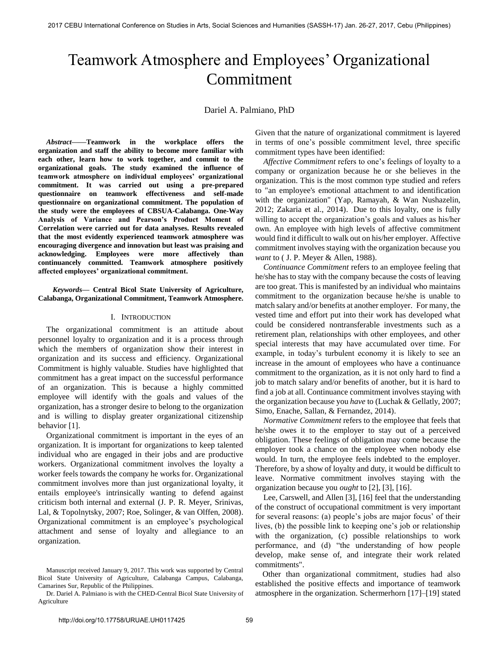# Teamwork Atmosphere and Employees' Organizational Commitment

Dariel A. Palmiano, PhD

*Abstract***——Teamwork in the workplace offers the organization and staff the ability to become more familiar with each other, learn how to work together, and commit to the organizational goals. The study examined the influence of teamwork atmosphere on individual employees' organizational commitment. It was carried out using a pre-prepared questionnaire on teamwork effectiveness and self-made questionnaire on organizational commitment. The population of the study were the employees of CBSUA-Calabanga. One-Way Analysis of Variance and Pearson's Product Moment of Correlation were carried out for data analyses. Results revealed that the most evidently experienced teamwork atmosphere was encouraging divergence and innovation but least was praising and acknowledging. Employees were more affectively than continuancely committed. Teamwork atmosphere positively affected employees' organizational commitment.** 

*Keywords***— Central Bicol State University of Agriculture, Calabanga, Organizational Commitment, Teamwork Atmosphere.** 

## I. INTRODUCTION

The organizational commitment is an attitude about personnel loyalty to organization and it is a process through which the members of organization show their interest in organization and its success and efficiency. Organizational Commitment is highly valuable. Studies have highlighted that commitment has a great impact on the successful performance of an organization. This is because a highly committed employee will identify with the goals and values of the organization, has a stronger desire to belong to the organization and is willing to display greater organizational citizenship behavior [1].

 Organizational commitment is important in the eyes of an organization. It is important for organizations to keep talented individual who are engaged in their jobs and are productive workers. Organizational commitment involves the loyalty a worker feels towards the company he works for. Organizational commitment involves more than just organizational loyalty, it entails employee's intrinsically wanting to defend against criticism both internal and external (J. P. R. Meyer, Srinivas, Lal, & Topolnytsky, 2007; Roe, Solinger, & van Olffen, 2008). Organizational commitment is an employee's psychological attachment and sense of loyalty and allegiance to an organization.

Given that the nature of organizational commitment is layered in terms of one's possible commitment level, three specific commitment types have been identified:

*Affective Commitment* refers to one's feelings of loyalty to a company or organization because he or she believes in the organization. This is the most common type studied and refers to "an employee's emotional attachment to and identification with the organization" (Yap, Ramayah, & Wan Nushazelin, 2012; Zakaria et al., 2014). Due to this loyalty, one is fully willing to accept the organization's goals and values as his/her own. An employee with high levels of affective commitment would find it difficult to walk out on his/her employer. Affective commitment involves staying with the organization because you *want* to ( J. P. Meyer & Allen, 1988).

*Continuance Commitment* refers to an employee feeling that he/she has to stay with the company because the costs of leaving are too great. This is manifested by an individual who maintains commitment to the organization because he/she is unable to match salary and/or benefits at another employer. For many, the vested time and effort put into their work has developed what could be considered nontransferable investments such as a retirement plan, relationships with other employees, and other special interests that may have accumulated over time. For example, in today's turbulent economy it is likely to see an increase in the amount of employees who have a continuance commitment to the organization, as it is not only hard to find a job to match salary and/or benefits of another, but it is hard to find a job at all. Continuance commitment involves staying with the organization because you *have* to (Luchak & Gellatly, 2007; Simo, Enache, Sallan, & Fernandez, 2014).

*Normative Commitment* refers to the employee that feels that he/she owes it to the employer to stay out of a perceived obligation. These feelings of obligation may come because the employer took a chance on the employee when nobody else would. In turn, the employee feels indebted to the employer. Therefore, by a show of loyalty and duty, it would be difficult to leave. Normative commitment involves staying with the organization because you *ought* to [2], [3], [16].

 Lee, Carswell, and Allen [3], [16] feel that the understanding of the construct of occupational commitment is very important for several reasons: (a) people's jobs are major focus' of their lives, (b) the possible link to keeping one's job or relationship with the organization, (c) possible relationships to work performance, and (d) "the understanding of how people develop, make sense of, and integrate their work related commitments".

 Other than organizational commitment, studies had also established the positive effects and importance of teamwork atmosphere in the organization. Schermerhorn [17]–[19] stated

Manuscript received January 9, 2017. This work was supported by Central Bicol State University of Agriculture, Calabanga Campus, Calabanga, Camarines Sur, Republic of the Philippines.

Dr. Dariel A. Palmiano is with the CHED-Central Bicol State University of Agriculture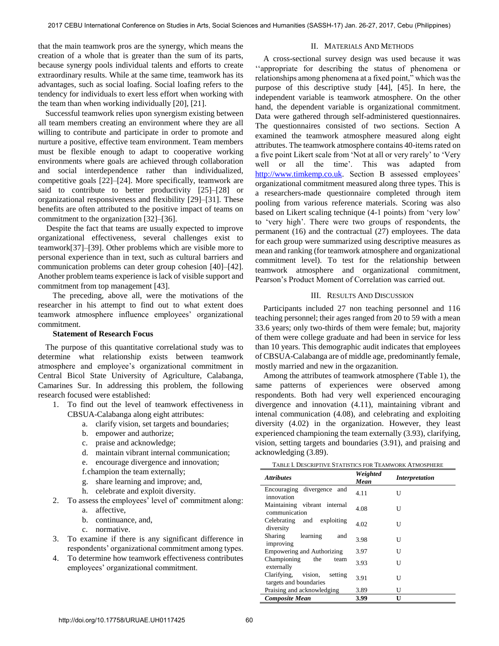that the main teamwork pros are the synergy, which means the creation of a whole that is greater than the sum of its parts, because synergy pools individual talents and efforts to create extraordinary results. While at the same time, teamwork has its advantages, such as social loafing. Social loafing refers to the tendency for individuals to exert less effort when working with the team than when working individually [20], [21].

 Successful teamwork relies upon synergism existing between all team members creating an environment where they are all willing to contribute and participate in order to promote and nurture a positive, effective team environment. Team members must be flexible enough to adapt to cooperative working environments where goals are achieved through collaboration and social interdependence rather than individualized, competitive goals [22]–[24]. More specifically, teamwork are said to contribute to better productivity [25]–[28] or organizational responsiveness and flexibility [29]–[31]. These benefits are often attributed to the positive impact of teams on commitment to the organization [32]–[36].

 Despite the fact that teams are usually expected to improve organizational effectiveness, several challenges exist to teamwork[37]–[39]. Other problems which are visible more to personal experience than in text, such as cultural barriers and communication problems can deter group cohesion [40]–[42]. Another problem teams experience is lack of visible support and commitment from top management [43].

 The preceding, above all, were the motivations of the researcher in his attempt to find out to what extent does teamwork atmosphere influence employees' organizational commitment.

## **Statement of Research Focus**

 The purpose of this quantitative correlational study was to determine what relationship exists between teamwork atmosphere and employee's organizational commitment in Central Bicol State University of Agriculture, Calabanga, Camarines Sur. In addressing this problem, the following research focused were established:

- 1. To find out the level of teamwork effectiveness in CBSUA-Calabanga along eight attributes:
	- a. clarify vision, set targets and boundaries;
	- b. empower and authorize;
	- c. praise and acknowledge;
	- d. maintain vibrant internal communication;
	- e. encourage divergence and innovation;
	- f.champion the team externally;
	- g. share learning and improve; and,
	- h. celebrate and exploit diversity.
- 2. To assess the employees' level of' commitment along:
	- a. affective,
	- b. continuance, and,
	- c. normative.
- 3. To examine if there is any significant difference in respondents' organizational commitment among types.
- 4. To determine how teamwork effectiveness contributes employees' organizational commitment.

## II. MATERIALS AND METHODS

 A cross-sectional survey design was used because it was ''appropriate for describing the status of phenomena or relationships among phenomena at a fixed point," which was the purpose of this descriptive study [44], [45]. In here, the independent variable is teamwork atmosphere. On the other hand, the dependent variable is organizational commitment. Data were gathered through self-administered questionnaires. The questionnaires consisted of two sections. Section A examined the teamwork atmosphere measured along eight attributes. The teamwork atmosphere contains 40-items rated on a five point Likert scale from 'Not at all or very rarely' to 'Very well or all the time'. This was adapted from [http://www.timkemp.co.uk.](http://www.timkemp.co.uk/media/other/19195/teameffectivenessquestionnaire.pdf) Section B assessed employees' organizational commitment measured along three types. This is a researchers-made questionnaire completed through item pooling from various reference materials. Scoring was also based on Likert scaling technique (4-1 points) from 'very low' to 'very high'. There were two groups of respondents, the permanent (16) and the contractual (27) employees. The data for each group were summarized using descriptive measures as mean and ranking (for teamwork atmosphere and organizational commitment level). To test for the relationship between teamwork atmosphere and organizational commitment, Pearson's Product Moment of Correlation was carried out.

## III. RESULTS AND DISCUSSION

 Participants included 27 non teaching personnel and 116 teaching personnel; their ages ranged from 20 to 59 with a mean 33.6 years; only two-thirds of them were female; but, majority of them were college graduate and had been in service for less than 10 years. This demographic audit indicates that employees of CBSUA-Calabanga are of middle age, predominantly female, mostly married and new in the orgazanition.

 Among the attributes of teamwork atmosphere (Table 1), the same patterns of experiences were observed among respondents. Both had very well experienced encouraging divergence and innovation (4.11), maintaining vibrant and intenal communication (4.08), and celebrating and exploiting diversity (4.02) in the organization. However, they least experienced championing the team externally (3.93), clarifying, vision, setting targets and boundaries (3.91), and praising and acknowledging (3.89).

| <b>Attributes</b>                                           | Weighted<br>Mean | <i>Interpretation</i> |
|-------------------------------------------------------------|------------------|-----------------------|
| Encouraging divergence and<br>innovation                    | 4.11             | U                     |
| Maintaining vibrant internal<br>communication               | 4.08             | U                     |
| exploiting<br>Celebrating and<br>diversity                  | 4.02             | U                     |
| Sharing<br>learning<br>and<br>improving                     | 3.98             | U                     |
| <b>Empowering and Authorizing</b>                           | 3.97             | U                     |
| Championing<br>the<br>team<br>externally                    | 3.93             | U                     |
| vision,<br>Clarifying.<br>setting<br>targets and boundaries | 3.91             | U                     |
| Praising and acknowledging                                  | 3.89             | U                     |
| <b>Composite Mean</b>                                       | 3.99             | U                     |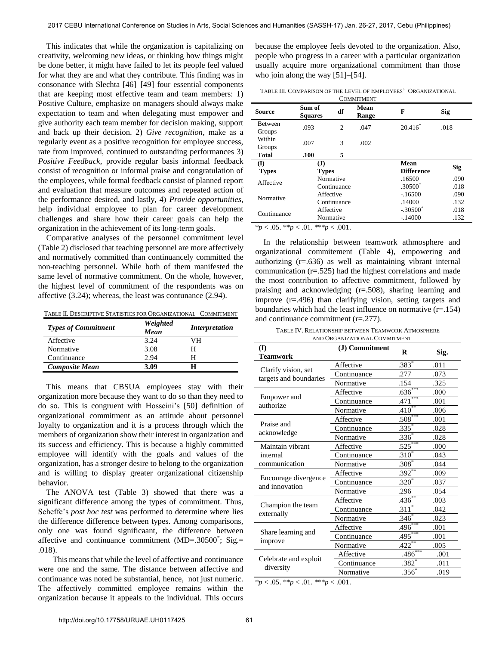This indicates that while the organization is capitalizing on creativity, welcoming new ideas, or thinking how things might be done better, it might have failed to let its people feel valued for what they are and what they contribute. This finding was in consonance with Slechta [46]–[49] four essential components that are keeping most effective team and team members: 1) Positive Culture, emphasize on managers should always make expectation to team and when delegating must empower and give authority each team member for decision making, support and back up their decision. 2) *Give recognition*, make as a regularly event as a positive recognition for employee success, rate from improved, continued to outstanding performances 3) *Positive Feedback*, provide regular basis informal feedback consist of recognition or informal praise and congratulation of the employees, while formal feedback consist of planned report and evaluation that measure outcomes and repeated action of the performance desired, and lastly, 4) *Provide opportunities*, help individual employee to plan for career development challenges and share how their career goals can help the organization in the achievement of its long-term goals.

 Comparative analyses of the personnel commitment level (Table 2) disclosed that teaching personnel are more affectively and normatively committed than continuancely committed the non-teaching personnel. While both of them manifested the same level of normative commitment. On the whole, however, the highest level of commitment of the respondents was on affective (3.24); whereas, the least was contunance (2.94).

TABLE II. DESCRIPTIVE STATISTICS FOR ORGANIZATIONAL COMMITMENT

| <b>Types of Commitment</b> | Weighted<br>Mean | <i>Interpretation</i> |
|----------------------------|------------------|-----------------------|
| Affective                  | 3.24             | VH.                   |
| Normative                  | 3.08             | н                     |
| Continuance                | 2.94             | H                     |
| <b>Composite Mean</b>      | 3.09             | Н                     |

 This means that CBSUA employees stay with their organization more because they want to do so than they need to do so. This is congruent with Hosseini's [50] definition of organizational commitment as an attitude about personnel loyalty to organization and it is a process through which the members of organization show their interest in organization and its success and efficiency. This is because a highly committed employee will identify with the goals and values of the organization, has a stronger desire to belong to the organization and is willing to display greater organizational citizenship behavior.

 The ANOVA test (Table 3) showed that there was a significant difference among the types of commitment. Thus, Scheffe's *post hoc test* was performed to determine where lies the difference difference between types. Among comparisons, only one was found significaant, the difference between affective and continuance commitment (MD=.30500\* ; Sig.= .018).

This means that while the level of affective and continuance were one and the same. The distance between affective and continuance was noted be substantial, hence, not just numeric. The affectively committed employee remains within the organization because it appeals to the individual. This occurs because the employee feels devoted to the organization. Also, people who progress in a career with a particular organization usually acquire more organizational commitment than those who join along the way [51]–[54].

TABLE III. COMPARISON OF THE LEVEL OF EMPLOYEES' ORGANIZATIONAL

| <b>COMMITMENT</b>        |                          |                          |               |                           |              |
|--------------------------|--------------------------|--------------------------|---------------|---------------------------|--------------|
| <b>Source</b>            | Sum of<br><b>Squares</b> | df                       | Mean<br>Range | F                         | Sig          |
| <b>Between</b><br>Groups | .093                     | $\overline{c}$           | .047          | $20.416*$                 | .018         |
| Within<br>Groups         | .007                     | 3                        | .002          |                           |              |
| <b>Total</b>             | .100                     | 5                        |               |                           |              |
| (I)<br><b>Types</b>      | (J)                      | <b>Types</b>             |               | Mean<br><b>Difference</b> | <b>Sig</b>   |
| Affective                |                          | Normative<br>Continuance |               | .16500<br>$.30500*$       | .090<br>.018 |
| Normative                |                          | Affective<br>Continuance |               | $-16500$<br>.14000        | .090<br>.132 |
| Continuance              |                          | Affective<br>Normative   |               | $-.30500$<br>$-.14000$    | .018<br>.132 |
|                          |                          |                          |               |                           |              |

\**p* < .05. \*\**p* < .01. \*\*\**p* < .001.

 In the relationship between teamwork athmosphere and organizational commitement (Table 4), empowering and authorizing (r=.636) as well as maintaining vibrant internal communication (r=.525) had the highest correlations and made the most contribution to affective commitment, followed by praising and acknowledging (r=.508), sharing learning and improve (r=.496) than clarifying vision, setting targets and boundaries which had the least influence on normative  $(r=154)$ and continuance commitment (r=.277).

| TABLE IV. RELATIONSHIP BETWEEN TEAMWORK ATMOSPHERE |
|----------------------------------------------------|
| AND ORGANIZATIONAL COMMITMENT                      |

| $.383*$<br>Affective<br>.011<br>Clarify vision, set<br>Continuance<br>.277<br>.073<br>targets and boundaries<br>Normative<br>.154<br>.325<br>.636<br>Affective<br>.000<br>Empower and<br>.471<br>Continuance<br>.001<br>authorize<br>$.410^{**}$<br>Normative<br>.006<br>$.508***$<br>Affective<br>.001<br>Praise and<br>$.335*$<br>Continuance<br>.028<br>acknowledge<br>.336<br>Normative<br>.028<br>$.525***$<br>Maintain vibrant<br>Affective<br>.000<br>$.310^{4}$<br>Continuance<br>internal<br>.043<br>$.308$ <sup>*</sup><br>communication<br>Normative<br>.044<br>$.392**$<br>Affective<br>.009<br>Encourage divergence<br>$.320^{*}$<br>Continuance<br>.037<br>and innovation | (I)<br>Teamwork                 | (J) Commitment | $\bf{R}$ | Sig. |
|-----------------------------------------------------------------------------------------------------------------------------------------------------------------------------------------------------------------------------------------------------------------------------------------------------------------------------------------------------------------------------------------------------------------------------------------------------------------------------------------------------------------------------------------------------------------------------------------------------------------------------------------------------------------------------------------|---------------------------------|----------------|----------|------|
|                                                                                                                                                                                                                                                                                                                                                                                                                                                                                                                                                                                                                                                                                         |                                 |                |          |      |
|                                                                                                                                                                                                                                                                                                                                                                                                                                                                                                                                                                                                                                                                                         |                                 |                |          |      |
|                                                                                                                                                                                                                                                                                                                                                                                                                                                                                                                                                                                                                                                                                         |                                 |                |          |      |
|                                                                                                                                                                                                                                                                                                                                                                                                                                                                                                                                                                                                                                                                                         |                                 |                |          |      |
|                                                                                                                                                                                                                                                                                                                                                                                                                                                                                                                                                                                                                                                                                         |                                 |                |          |      |
|                                                                                                                                                                                                                                                                                                                                                                                                                                                                                                                                                                                                                                                                                         |                                 |                |          |      |
|                                                                                                                                                                                                                                                                                                                                                                                                                                                                                                                                                                                                                                                                                         |                                 |                |          |      |
|                                                                                                                                                                                                                                                                                                                                                                                                                                                                                                                                                                                                                                                                                         |                                 |                |          |      |
|                                                                                                                                                                                                                                                                                                                                                                                                                                                                                                                                                                                                                                                                                         |                                 |                |          |      |
|                                                                                                                                                                                                                                                                                                                                                                                                                                                                                                                                                                                                                                                                                         |                                 |                |          |      |
|                                                                                                                                                                                                                                                                                                                                                                                                                                                                                                                                                                                                                                                                                         |                                 |                |          |      |
|                                                                                                                                                                                                                                                                                                                                                                                                                                                                                                                                                                                                                                                                                         |                                 |                |          |      |
|                                                                                                                                                                                                                                                                                                                                                                                                                                                                                                                                                                                                                                                                                         |                                 |                |          |      |
|                                                                                                                                                                                                                                                                                                                                                                                                                                                                                                                                                                                                                                                                                         |                                 |                |          |      |
| Normative<br>.296<br>.054                                                                                                                                                                                                                                                                                                                                                                                                                                                                                                                                                                                                                                                               |                                 |                |          |      |
| $.436*$<br>Affective<br>.003                                                                                                                                                                                                                                                                                                                                                                                                                                                                                                                                                                                                                                                            |                                 |                |          |      |
| $.311*$<br>Continuance<br>.042                                                                                                                                                                                                                                                                                                                                                                                                                                                                                                                                                                                                                                                          | Champion the team<br>externally |                |          |      |
| .346<br>Normative<br>.023                                                                                                                                                                                                                                                                                                                                                                                                                                                                                                                                                                                                                                                               |                                 |                |          |      |
| $.496^{\bullet\bullet\bullet\bullet}$<br>Affective<br>.001                                                                                                                                                                                                                                                                                                                                                                                                                                                                                                                                                                                                                              | Share learning and<br>improve   |                |          |      |
| $.495***$<br>Continuance<br>.001                                                                                                                                                                                                                                                                                                                                                                                                                                                                                                                                                                                                                                                        |                                 |                |          |      |
| $.422$ <sup>*</sup><br>Normative<br>.005                                                                                                                                                                                                                                                                                                                                                                                                                                                                                                                                                                                                                                                |                                 |                |          |      |
| $.486***$<br>Affective<br>.001                                                                                                                                                                                                                                                                                                                                                                                                                                                                                                                                                                                                                                                          | Celebrate and exploit           |                |          |      |
| $.382^*$<br>Continuance<br>.011                                                                                                                                                                                                                                                                                                                                                                                                                                                                                                                                                                                                                                                         |                                 |                |          |      |
| diversity<br>$.356^{*}$<br>Normative<br>.019                                                                                                                                                                                                                                                                                                                                                                                                                                                                                                                                                                                                                                            |                                 |                |          |      |

\**p* < .05. \*\**p* < .01. \*\*\**p* < .001.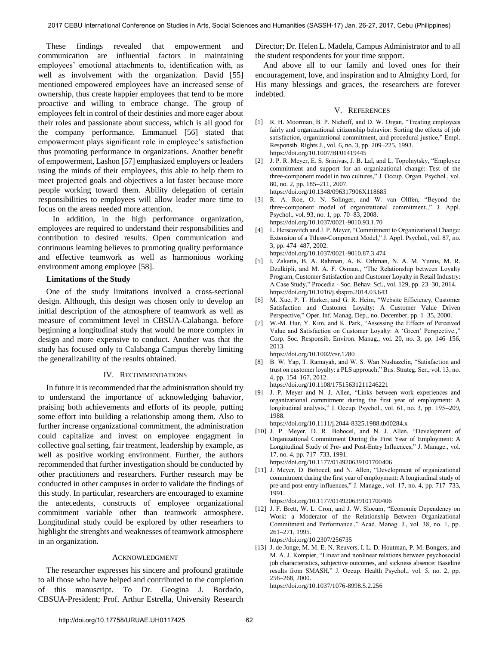These findings revealed that empowerment and communication are influential factors in maintaining employees' emotional attachments to, identification with, as well as involvement with the organization. David [55] mentioned empowered employees have an increased sense of ownership, thus create happier employees that tend to be more proactive and willing to embrace change. The group of employees felt in control of their destinies and more eager about their roles and passionate about success, which is all good for the company performance. Emmanuel [56] stated that empowerment plays significant role in employee's satisfaction thus promoting performance in organizations. Another benefit of empowerment, Lashon [57] emphasized employers or leaders using the minds of their employees, this able to help them to meet projected goals and objectives a lot faster because more people working toward them. Ability delegation of certain responsibilities to employees will allow leader more time to focus on the areas needed more attention.

In addition, in the high performance organization, employees are required to understand their responsibilities and contribution to desired results. Open communication and continuous learning believes to promoting quality performance and effective teamwork as well as harmonious working environment among employee [58].

## **Limitations of the Study**

 One of the study limitations involved a cross-sectional design. Although, this design was chosen only to develop an initial description of the atmosphere of teamwork as well as measure of commitment level in CBSUA-Calabanga. before beginning a longitudinal study that would be more complex in design and more expensive to conduct. Another was that the study has focused only to Calabanga Campus thereby limiting the generalizability of the results obtained.

## IV. RECOMMENDATIONS

 In future it is recommended that the administration should try to understand the importance of acknowledging bahavior, praising both achievements and efforts of its people, putting some effort into building a relationship among them. Also to further increase organizational commitment, the administration could capitalize and invest on employee engagment in collective goal setting, fair treatment, leadership by example, as well as positive working environment. Further, the authors recommended that further investigation should be conducted by other practitioners and researchers. Further research may be conducted in other campuses in order to validate the findings of this study. In particular, researchers are encouraged to examine the antecedents, constructs of employee organizational commitment variable other than teamwork atmosphere. Longitudinal study could be explored by other researhers to highlight the strenghts and weaknesses of teamwork atmosphere in an organization.

### ACKNOWLEDGMENT

 The researcher expresses his sincere and profound gratitude to all those who have helped and contributed to the completion of this manuscript. To Dr. Geogina J. Bordado, CBSUA-President; Prof. Arthur Estrella, University Research Director; Dr. Helen L. Madela, Campus Administrator and to all the student respondents for your time support.

 And above all to our family and loved ones for their encouragement, love, and inspiration and to Almighty Lord, for His many blessings and graces, the researchers are forever indebted.

#### V. REFERENCES

- [1] [R. H. Moorman, B. P. Niehoff, and D. W. Organ, "Treating employees](https://doi.org/10.1007/BF01419445)  [fairly and organizational citizenship behavior: Sorting the effects of job](https://doi.org/10.1007/BF01419445)  [satisfaction, organizational commitment, and procedural justice," Empl.](https://doi.org/10.1007/BF01419445)  [Responsib. Rights J., vol. 6, no. 3, pp. 209–225, 1993.](https://doi.org/10.1007/BF01419445) <https://doi.org/10.1007/BF01419445>
- [2] [J. P. R. Meyer, E. S. Srinivas, J. B. Lal, and L. Topolnytsky, "Employee](https://doi.org/10.1348/096317906X118685)  [commitment and support for an organizational change: Test of the](https://doi.org/10.1348/096317906X118685)  [three-component model in two cultures," J. Occup. Organ. Psychol., vol.](https://doi.org/10.1348/096317906X118685)  [80, no. 2, pp. 185–211, 2007.](https://doi.org/10.1348/096317906X118685)  <https://doi.org/10.1348/096317906X118685>
- [3] [R. A. Roe, O. N. Solinger, and W. van Olffen, "Beyond the](https://doi.org/10.1037/0021-9010.93.1.70)  [three-component model of organizational commitment.," J. Appl.](https://doi.org/10.1037/0021-9010.93.1.70)  [Psychol., vol. 93, no. 1, pp. 70–83, 2008.](https://doi.org/10.1037/0021-9010.93.1.70)  <https://doi.org/10.1037/0021-9010.93.1.70>
- L. Herscovitch and J. P. Meyer, "Commitment to Organizational Change: [Extension of a Tthree-Component Model," J. Appl. Psychol., vol. 87, no.](https://doi.org/10.1037/0021-9010.87.3.474)  [3, pp. 474–487, 2002.](https://doi.org/10.1037/0021-9010.87.3.474)  <https://doi.org/10.1037/0021-9010.87.3.474>
- [5] [I. Zakaria, B. A. Rahman, A. K. Othman, N. A. M. Yunus, M. R.](https://doi.org/10.1016/j.sbspro.2014.03.643)  [Dzulkipli, and M. A. F. Osman., "The Relationship between Loyalty](https://doi.org/10.1016/j.sbspro.2014.03.643)  [Program, Customer Satisfaction and Customer Loyalty in Retail Industry:](https://doi.org/10.1016/j.sbspro.2014.03.643)  [A Case Study," Procedia - Soc. Behav. Sci., vol. 129, pp. 23–30, 2014.](https://doi.org/10.1016/j.sbspro.2014.03.643)  <https://doi.org/10.1016/j.sbspro.2014.03.643>
- [6] M. Xue, P. T. Harker, and G. R. Heim, "Website Efficiency, Customer Satisfaction and Customer Loyalty: A Customer Value Driven Perspective," Oper. Inf. Manag. Dep., no. December, pp. 1–35, 2000.
- [7] [W.-M. Hur, Y. Kim, and K. Park, "Assessing the Effects of Perceived](https://doi.org/10.1002/csr.1280)  Value and Satisfaction on Customer Loyalty: A 'Green' Perspective.,' [Corp. Soc. Responsib. Environ. Manag., vol. 20, no. 3, pp. 146–156,](https://doi.org/10.1002/csr.1280)  [2013.](https://doi.org/10.1002/csr.1280) <https://doi.org/10.1002/csr.1280>
- [8] [B. W. Yap, T. Ramayah, and W. S. Wan Nushazelin, "Satisfaction and](https://doi.org/10.1108/17515631211246221)  [trust on customer loyalty: a PLS approach," Bus. Strateg. Ser., vol. 13, no.](https://doi.org/10.1108/17515631211246221)  [4, pp. 154–167, 2012.](https://doi.org/10.1108/17515631211246221) 
	- <https://doi.org/10.1108/17515631211246221>
- [9] [J. P. Meyer and N. J. Allen, "Links between work experiences and](https://doi.org/10.1111/j.2044-8325.1988.tb00284.x)  [organizational commitment during the first year of employment: A](https://doi.org/10.1111/j.2044-8325.1988.tb00284.x)  [longitudinal analysis," J. Occup. Psychol., vol. 61, no. 3, pp. 195–209,](https://doi.org/10.1111/j.2044-8325.1988.tb00284.x)  [1988.](https://doi.org/10.1111/j.2044-8325.1988.tb00284.x)

<https://doi.org/10.1111/j.2044-8325.1988.tb00284.x>

- [10] [J. P. Meyer, D. R. Bobocel, and N. J. Allen, "Development of](https://doi.org/10.1177/014920639101700406)  [Organizational Commitment During the First Year of Employment: A](https://doi.org/10.1177/014920639101700406)  [Longitudinal Study of Pre- and Post-Entry Influences," J. Manage., vol.](https://doi.org/10.1177/014920639101700406)  [17, no. 4, pp. 717–733, 1991.](https://doi.org/10.1177/014920639101700406)  <https://doi.org/10.1177/014920639101700406>
- [11] [J. Meyer, D. Bobocel, and N. Allen, "Development of organizational](https://doi.org/10.1177/014920639101700406)  [commitment during the first year of employment: A longitudinal study of](https://doi.org/10.1177/014920639101700406)  [pre-and post-entry influences," J. Manage., vol. 17, no. 4, pp. 717–733,](https://doi.org/10.1177/014920639101700406)  [1991.](https://doi.org/10.1177/014920639101700406)

<https://doi.org/10.1177/014920639101700406>

<https://doi.org/10.1037/1076-8998.5.2.256>

[12] J. F. Brett, W. L. Cron, and J. W. Slocum, "Economic Dependency on [Work: a Moderator of the Relationship Between Organizational](https://doi.org/10.2307/256735)  [Commitment and Performance.," Acad. Manag. J., vol. 38, no. 1, pp.](https://doi.org/10.2307/256735)  [261–271, 1995.](https://doi.org/10.2307/256735) 

<https://doi.org/10.2307/256735> [13] J. de Jonge, M. M. E. N. Reuvers, I. L. D. Houtman, P. M. Bongers, and [M. A. J. Kompier, "Linear and nonlinear relations between psychosocial](https://doi.org/10.1037/1076-8998.5.2.256)  [job characteristics, subjective outcomes, and sickness absence: Baseline](https://doi.org/10.1037/1076-8998.5.2.256)  [results from SMASH," J. Occup. Health Psychol., vol. 5, no. 2, pp.](https://doi.org/10.1037/1076-8998.5.2.256) 

[256–268, 2000.](https://doi.org/10.1037/1076-8998.5.2.256)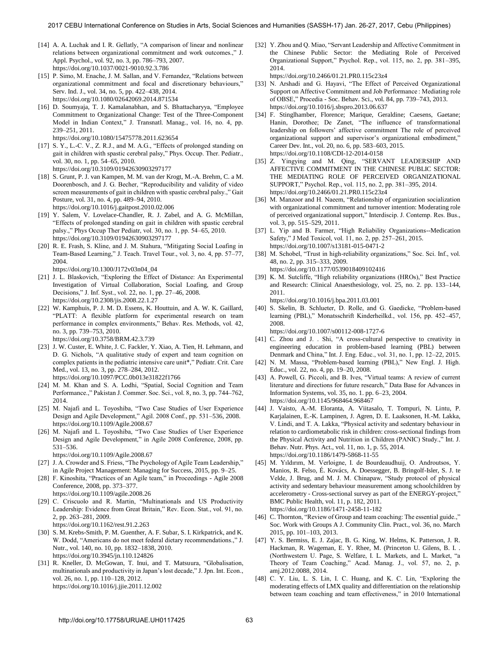- [14] A. A. Luchak and I. R. Gellatly, "A comparison of linear and nonlinear [relations between organizational commitment and work outcomes.," J.](https://doi.org/10.1037/0021-9010.92.3.786)  [Appl. Psychol., vol. 92, no. 3, pp. 786–793, 2007.](https://doi.org/10.1037/0021-9010.92.3.786)  <https://doi.org/10.1037/0021-9010.92.3.786>
- [15] P. Simo, M. Enache, J. M. Sallan, and V. Fernandez, "Relations between [organizational commitment and focal and discretionary behaviours,"](https://doi.org/10.1080/02642069.2014.871534)  [Serv. Ind. J., vol. 34, no. 5, pp. 422–438, 2014.](https://doi.org/10.1080/02642069.2014.871534)  <https://doi.org/10.1080/02642069.2014.871534>
- [16] D. Soumyaja, T. J. Kamalanabhan, and S. Bhattacharyya, "Employee [Commitment to Organizational Change: Test of the Three-Component](https://doi.org/10.1080/15475778.2011.623654)  [Model in Indian Context," J. Transnatl. Manag., vol. 16, no. 4, pp.](https://doi.org/10.1080/15475778.2011.623654)  [239–251, 2011.](https://doi.org/10.1080/15475778.2011.623654)  <https://doi.org/10.1080/15475778.2011.623654>
- [17] [S. Y., L.-C. V., Z. R.J., and M. A.G., "Effects of prolonged standing on](https://doi.org/10.3109/01942630903297177)  [gait in children with spastic cerebral palsy," Phys. Occup. Ther. Pediatr.,](https://doi.org/10.3109/01942630903297177)  [vol. 30, no. 1, pp. 54–65, 2010.](https://doi.org/10.3109/01942630903297177) 
	- <https://doi.org/10.3109/01942630903297177>
- [18] [S. Grunt, P. J. van Kampen, M. M. van der Krogt, M.-A. Brehm, C. a M.](https://doi.org/10.1016/j.gaitpost.2010.02.006)  [Doorenbosch, and J. G. Becher, "Reproducibility and validity of video](https://doi.org/10.1016/j.gaitpost.2010.02.006)  [screen measurements of gait in children with spastic cerebral palsy.," Gait](https://doi.org/10.1016/j.gaitpost.2010.02.006)  [Posture, vol. 31, no. 4, pp. 489–94, 2010.](https://doi.org/10.1016/j.gaitpost.2010.02.006)  <https://doi.org/10.1016/j.gaitpost.2010.02.006>
- [19] Y. Salem, V. Lovelace-Chandler, R. J. Zabel, and A. G. McMillan, ["Effects of prolonged standing on gait in children with spastic cerebral](https://doi.org/10.3109/01942630903297177)  [palsy.," Phys Occup Ther Pediatr, vol. 30, no. 1, pp. 54–65, 2010.](https://doi.org/10.3109/01942630903297177)  <https://doi.org/10.3109/01942630903297177>
- [20] [R. E. Frash, S. Kline, and J. M. Stahura, "Mitigating Social Loafing in](https://doi.org/10.1300/J172v03n04_04)  [Team-Based Learning," J. Teach. Travel Tour., vol. 3, no. 4, pp. 57–77,](https://doi.org/10.1300/J172v03n04_04)  [2004.](https://doi.org/10.1300/J172v03n04_04)
	- [https://doi.org/10.1300/J172v03n04\\_04](https://doi.org/10.1300/J172v03n04_04)
- [21] [J. L. Blaskovich, "Exploring the Effect of Distance: An Experimental](https://doi.org/10.2308/jis.2008.22.1.27)  [Investigation of Virtual Collaboration, Social Loafing, and Group](https://doi.org/10.2308/jis.2008.22.1.27)  [Decisions," J. Inf. Syst., vol. 22, no. 1, pp. 27–46, 2008.](https://doi.org/10.2308/jis.2008.22.1.27)  <https://doi.org/10.2308/jis.2008.22.1.27>
- [22] W. Kamphuis, P. J. M. D. Essens, K. Houttuin, and A. W. K. Gaillard, ["PLATT: A flexible platform for experimental research on team](https://doi.org/10.3758/BRM.42.3.739)  [performance in complex environments," Behav. Res. Methods, vol. 42,](https://doi.org/10.3758/BRM.42.3.739)  [no. 3, pp. 739–753, 2010.](https://doi.org/10.3758/BRM.42.3.739)

<https://doi.org/10.3758/BRM.42.3.739>

- [23] J. W. Custer, E. White, J. C. Fackler, Y. Xiao, A. Tien, H. Lehmann, and [D. G. Nichols, "A qualitative study of expert and team cognition on](https://doi.org/10.1097/PCC.0b013e31822f1766)  [complex patients in the pediatric intensive care unit\\*," Pediatr. Crit. Care](https://doi.org/10.1097/PCC.0b013e31822f1766)  [Med., vol. 13, no. 3, pp. 278–284, 2012.](https://doi.org/10.1097/PCC.0b013e31822f1766)  <https://doi.org/10.1097/PCC.0b013e31822f1766>
- [24] M. M. Khan and S. A. Lodhi, "Spatial, Social Cognition and Team Performance.," Pakistan J. Commer. Soc. Sci., vol. 8, no. 3, pp. 744–762, 2014.
- [25] M. Najafi and L. Toyoshiba, "Two Case Studies of User Experience [Design and Agile Development," Agil. 2008 Conf., pp. 531–536, 2008.](https://doi.org/10.1109/Agile.2008.67)  <https://doi.org/10.1109/Agile.2008.67>
- [26] [M. Najafi and L. Toyoshiba, "Two Case Studies of User Experience](https://doi.org/10.1109/Agile.2008.67)  [Design and Agile Development," in Agile 2008 Conference, 2008, pp.](https://doi.org/10.1109/Agile.2008.67)  [531–536.](https://doi.org/10.1109/Agile.2008.67)
	- <https://doi.org/10.1109/Agile.2008.67>
- [27] J. A. Crowder and S. Friess, "The Psychology of Agile Team Leadership," in Agile Project Management: Managing for Success, 2015, pp. 9–25.
- [28] [F. Kinoshita, "Practices of an Agile team," in Proceedings Agile 2008](https://doi.org/10.1109/agile.2008.26)  [Conference, 2008, pp. 373–377.](https://doi.org/10.1109/agile.2008.26) <https://doi.org/10.1109/agile.2008.26>
- [29] [C. Criscuolo and R. Martin, "Multinationals and US Productivity](https://doi.org/10.1162/rest.91.2.263)  [Leadership: Evidence from Great Britain," Rev. Econ. Stat., vol. 91, no.](https://doi.org/10.1162/rest.91.2.263)  [2, pp. 263–281, 2009.](https://doi.org/10.1162/rest.91.2.263)

<https://doi.org/10.1162/rest.91.2.263>

- [30] [S. M. Krebs-Smith, P. M. Guenther, A. F. Subar, S. I. Kirkpatrick, and K.](https://doi.org/10.3945/jn.110.124826)  [W. Dodd, "Americans do not meet federal dietary recommendations.," J.](https://doi.org/10.3945/jn.110.124826) [Nutr., vol. 140, no. 10, pp. 1832–1838, 2010.](https://doi.org/10.3945/jn.110.124826)  <https://doi.org/10.3945/jn.110.124826>
- [31] R. Kneller, D. McGowan, T. Inui, and T. Matsuura, "Globalisation, [multinationals and productivity in Japan's lost decade," J. Jpn. Int. Econ.,](https://doi.org/10.1016/j.jjie.2011.12.002)  [vol. 26, no. 1, pp. 110–128, 2012.](https://doi.org/10.1016/j.jjie.2011.12.002)  <https://doi.org/10.1016/j.jjie.2011.12.002>

[32] Y. Zhou and Q. Miao, "Servant Leadership and Affective Commitment in [the Chinese Public Sector: the Mediating Role of Perceived](https://doi.org/10.2466/01.21.PR0.115c23z4)  [Organizational Support," Psychol. Rep., vol. 115, no. 2, pp. 381–395,](https://doi.org/10.2466/01.21.PR0.115c23z4)  [2014.](https://doi.org/10.2466/01.21.PR0.115c23z4)

<https://doi.org/10.2466/01.21.PR0.115c23z4>

- [33] N. Arshadi and G. Hayavi, "The Effect of Perceived Organizational [Support on Affective Commitment and Job Performance : Mediating role](https://doi.org/10.1016/j.sbspro.2013.06.637)  [of OBSE," Procedia - Soc. Behav. Sci., vol. 84, pp. 739–743, 2013.](https://doi.org/10.1016/j.sbspro.2013.06.637)  <https://doi.org/10.1016/j.sbspro.2013.06.637>
- [34] [F. Stinglhamber, Florence; Marique, Geraldine; Caesens, Gaetane;](https://doi.org/10.1108/CDI-12-2014-0158)  [Hanin, Dorothee; De Zanet, "The influence of transformational](https://doi.org/10.1108/CDI-12-2014-0158)  [leadership on followers' affective commitment The role of perceived](https://doi.org/10.1108/CDI-12-2014-0158)  [organizational support and supervisor's organizational embodiment,"](https://doi.org/10.1108/CDI-12-2014-0158)  [Career Dev. Int., vol. 20, no. 6, pp. 583–603, 2015.](https://doi.org/10.1108/CDI-12-2014-0158)  <https://doi.org/10.1108/CDI-12-2014-0158>
- [35] [Z. Yingying and M. Qing, "SERVANT LEADERSHIP AND](https://doi.org/10.2466/01.21.PR0.115c23z4)  [AFFECTIVE COMMITMENT IN THE CHINESE PUBLIC SECTOR:](https://doi.org/10.2466/01.21.PR0.115c23z4)  [THE MEDIATING ROLE OF PERCEIVED ORGANIZATIONAL](https://doi.org/10.2466/01.21.PR0.115c23z4)  [SUPPORT," Psychol. Rep., vol. 115, no. 2, pp. 381–395, 2014.](https://doi.org/10.2466/01.21.PR0.115c23z4)  <https://doi.org/10.2466/01.21.PR0.115c23z4>
- [36] M. Manzoor and H. Naeem, "Relationship of organization socialization with organizational commitment and turnover intention: Moderating role of perceived organizational support," Interdiscip. J. Contemp. Res. Bus., vol. 3, pp. 515–529, 2011.
- [37] [L. Yip and B. Farmer, "High Reliability Organizations--Medication](https://doi.org/10.1007/s13181-015-0471-2)  [Safety," J Med Toxicol, vol. 11, no. 2, pp. 257–261, 2015.](https://doi.org/10.1007/s13181-015-0471-2)  <https://doi.org/10.1007/s13181-015-0471-2>
- [38] M. Schobel, "Trust in high-reliability organizations," Soc. Sci. Inf., vol. [48, no. 2, pp. 315–333, 2009.](https://doi.org/10.1177/0539018409102416)

<https://doi.org/10.1177/0539018409102416>

[39] [K. M. Sutcliffe, "High reliability organizations \(HROs\)," Best Practice](https://doi.org/10.1016/j.bpa.2011.03.001)  [and Research: Clinical Anaesthesiology, vol. 25, no. 2. pp. 133–144,](https://doi.org/10.1016/j.bpa.2011.03.001)  [2011.](https://doi.org/10.1016/j.bpa.2011.03.001)

<https://doi.org/10.1016/j.bpa.2011.03.001>

[40] S. Skelin, B. Schlueter, D. Rolle, and G. Gaedicke, "Problem-based [learning \(PBL\)," Monatsschrift Kinderheilkd., vol. 156, pp. 452–457,](https://doi.org/10.1007/s00112-008-1727-6)  [2008.](https://doi.org/10.1007/s00112-008-1727-6)

<https://doi.org/10.1007/s00112-008-1727-6>

- [41] C. Zhou and J. . Shi, "A cross-cultural perspective to creativity in engineering education in problem-based learning (PBL) between Denmark and China," Int. J. Eng. Educ., vol. 31, no. 1, pp. 12–22, 2015.
- [42] N. M. Massa, "Problem-based learning (PBL)," New Engl. J. High. Educ., vol. 22, no. 4, pp. 19–20, 2008.
- [43] A. Powell, G. Piccoli, and B. Ives, "Virtual teams: A review of current [literature and directions for future research," Data Base for Advances in](https://doi.org/10.1145/968464.968467)  [Information Systems, vol. 35, no. 1. pp. 6–23, 2004.](https://doi.org/10.1145/968464.968467)  <https://doi.org/10.1145/968464.968467>
- [44] [J. Vaisto, A.-M. Eloranta, A. Viitasalo, T. Tompuri, N. Lintu, P.](https://doi.org/10.1186/1479-5868-11-55)  [Karjalainen, E.-K. Lampinen, J. Agren, D. E. Laaksonen, H.-M. Lakka,](https://doi.org/10.1186/1479-5868-11-55)  [V. Lindi, and T. A. Lakka, "Physical activity and sedentary behaviour in](https://doi.org/10.1186/1479-5868-11-55)  [relation to cardiometabolic risk in children: cross-sectional findings from](https://doi.org/10.1186/1479-5868-11-55)  [the Physical Activity and Nutrition in Children \(PANIC\) Study.," Int. J.](https://doi.org/10.1186/1479-5868-11-55)  [Behav. Nutr. Phys. Act., vol. 11, no. 1, p. 55, 2014.](https://doi.org/10.1186/1479-5868-11-55)  <https://doi.org/10.1186/1479-5868-11-55>
- [45] [M. Yıldırım, M. Verloigne, I. de Bourdeaudhuij, O. Androutsos, Y.](https://doi.org/10.1186/1471-2458-11-182)  [Manios, R. Felso, É. Kovács, A. Doessegger, B. Bringolf-Isler, S. J. te](https://doi.org/10.1186/1471-2458-11-182)  [Velde, J. Brug, and M. J. M. Chinapaw, "Study protocol of physical](https://doi.org/10.1186/1471-2458-11-182)  [activity and sedentary behaviour measurement among schoolchildren by](https://doi.org/10.1186/1471-2458-11-182)  [accelerometry - Cross-sectional survey as part of the ENERGY-project,"](https://doi.org/10.1186/1471-2458-11-182)  [BMC Public Health, vol. 11, p. 182, 2011.](https://doi.org/10.1186/1471-2458-11-182)  <https://doi.org/10.1186/1471-2458-11-182>
- [46] C. Thornton, "Review of Group and team coaching: The essential guide.," Soc. Work with Groups A J. Community Clin. Pract., vol. 36, no. March 2015, pp. 101–103, 2013.
- [47] Y. S. Bermiss, E. J. Zajac, B. G. King, W. Helms, K. Patterson, J. R. Hackman, R. Wageman, E. Y. Rhee, M. (Princeton U. Gilens, B. I. . (Northwestern U. Page, S. Welfare, I. L. Markets, and L. Market, "a Theory of Team Coaching," Acad. Manag. J., vol. 57, no. 2, p. amj.2012.0088, 2014.
- [48] C. Y. Liu, L. S. Lin, I. C. Huang, and K. C. Lin, "Exploring the moderating effects of LMX quality and differentiation on the relationship between team coaching and team effectiveness," in 2010 International